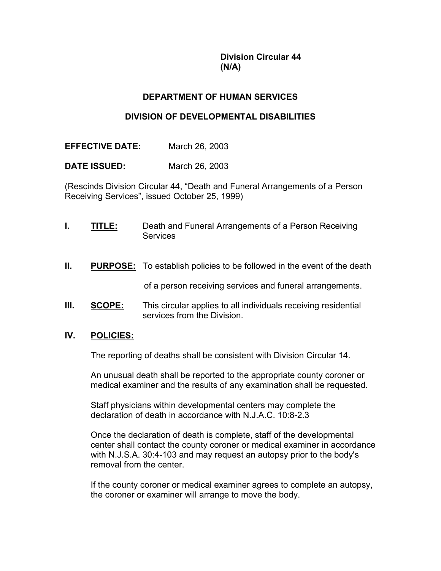**Division Circular 44 (N/A)**

# **DEPARTMENT OF HUMAN SERVICES**

## **DIVISION OF DEVELOPMENTAL DISABILITIES**

**EFFECTIVE DATE:** March 26, 2003

**DATE ISSUED:** March 26, 2003

(Rescinds Division Circular 44, "Death and Funeral Arrangements of a Person Receiving Services", issued October 25, 1999)

- **I. TITLE:** Death and Funeral Arrangements of a Person Receiving **Services**
- **II. PURPOSE:** To establish policies to be followed in the event of the death

of a person receiving services and funeral arrangements.

**III. SCOPE:** This circular applies to all individuals receiving residential services from the Division.

### **IV. POLICIES:**

The reporting of deaths shall be consistent with Division Circular 14.

An unusual death shall be reported to the appropriate county coroner or medical examiner and the results of any examination shall be requested.

Staff physicians within developmental centers may complete the declaration of death in accordance with N.J.A.C. 10:8-2.3

Once the declaration of death is complete, staff of the developmental center shall contact the county coroner or medical examiner in accordance with N.J.S.A. 30:4-103 and may request an autopsy prior to the body's removal from the center.

If the county coroner or medical examiner agrees to complete an autopsy, the coroner or examiner will arrange to move the body.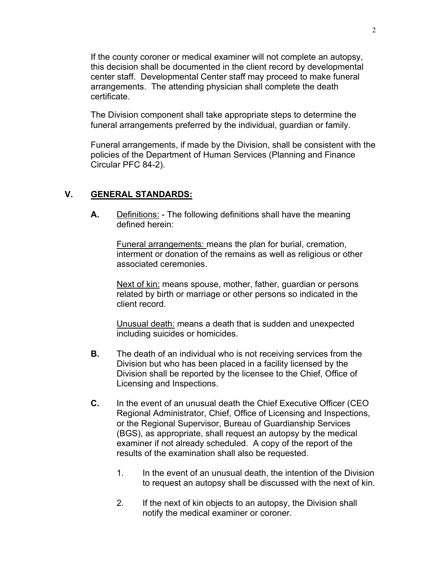If the county coroner or medical examiner will not complete an autopsy, this decision shall be documented in the client record by developmental center staff. Developmental Center staff may proceed to make funeral arrangements. The attending physician shall complete the death certificate.

The Division component shall take appropriate steps to determine the funeral arrangements preferred by the individual, guardian or family.

Funeral arrangements, if made by the Division, shall be consistent with the policies of the Department of Human Services (Planning and Finance Circular PFC 84-2).

#### **V. GENERAL STANDARDS:**

**A.** Definitions: - The following definitions shall have the meaning defined herein:

Funeral arrangements: means the plan for burial, cremation, interment or donation of the remains as well as religious or other associated ceremonies.

Next of kin: means spouse, mother, father, guardian or persons related by birth or marriage or other persons so indicated in the client record.

Unusual death: means a death that is sudden and unexpected including suicides or homicides.

- **B.** The death of an individual who is not receiving services from the Division but who has been placed in a facility licensed by the Division shall be reported by the licensee to the Chief, Office of Licensing and Inspections.
- **C.** In the event of an unusual death the Chief Executive Officer (CEO Regional Administrator, Chief, Office of Licensing and Inspections, or the Regional Supervisor, Bureau of Guardianship Services (BGS), as appropriate, shall request an autopsy by the medical examiner if not already scheduled. A copy of the report of the results of the examination shall also be requested.
	- 1. In the event of an unusual death, the intention of the Division to request an autopsy shall be discussed with the next of kin.
	- 2. If the next of kin objects to an autopsy, the Division shall notify the medical examiner or coroner.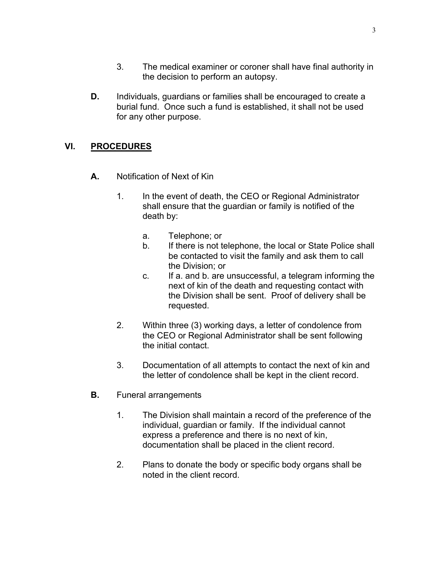- 3. The medical examiner or coroner shall have final authority in the decision to perform an autopsy.
- **D.** Individuals, guardians or families shall be encouraged to create a burial fund. Once such a fund is established, it shall not be used for any other purpose.

# **VI. PROCEDURES**

- **A.** Notification of Next of Kin
	- 1. In the event of death, the CEO or Regional Administrator shall ensure that the guardian or family is notified of the death by:
		- a. Telephone; or
		- b. If there is not telephone, the local or State Police shall be contacted to visit the family and ask them to call the Division; or
		- c. If a. and b. are unsuccessful, a telegram informing the next of kin of the death and requesting contact with the Division shall be sent. Proof of delivery shall be requested.
	- 2. Within three (3) working days, a letter of condolence from the CEO or Regional Administrator shall be sent following the initial contact.
	- 3. Documentation of all attempts to contact the next of kin and the letter of condolence shall be kept in the client record.
- **B.** Funeral arrangements
	- 1. The Division shall maintain a record of the preference of the individual, guardian or family. If the individual cannot express a preference and there is no next of kin, documentation shall be placed in the client record.
	- 2. Plans to donate the body or specific body organs shall be noted in the client record.